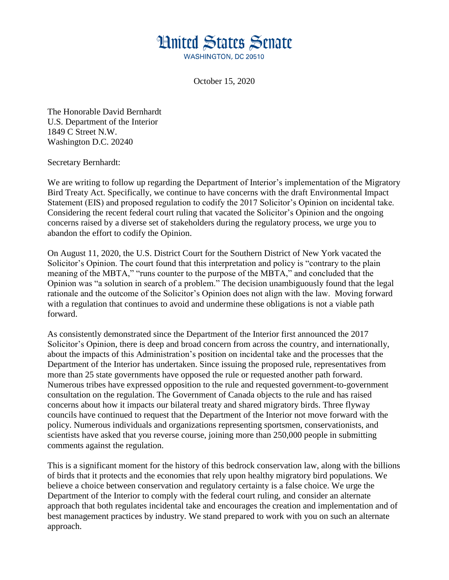

October 15, 2020

The Honorable David Bernhardt U.S. Department of the Interior 1849 C Street N.W. Washington D.C. 20240

## Secretary Bernhardt:

We are writing to follow up regarding the Department of Interior's implementation of the Migratory Bird Treaty Act. Specifically, we continue to have concerns with the draft Environmental Impact Statement (EIS) and proposed regulation to codify the 2017 Solicitor's Opinion on incidental take. Considering the recent federal court ruling that vacated the Solicitor's Opinion and the ongoing concerns raised by a diverse set of stakeholders during the regulatory process, we urge you to abandon the effort to codify the Opinion.

On August 11, 2020, the U.S. District Court for the Southern District of New York vacated the Solicitor's Opinion. The court found that this interpretation and policy is "contrary to the plain meaning of the MBTA," "runs counter to the purpose of the MBTA," and concluded that the Opinion was "a solution in search of a problem." The decision unambiguously found that the legal rationale and the outcome of the Solicitor's Opinion does not align with the law. Moving forward with a regulation that continues to avoid and undermine these obligations is not a viable path forward.

As consistently demonstrated since the Department of the Interior first announced the 2017 Solicitor's Opinion, there is deep and broad concern from across the country, and internationally, about the impacts of this Administration's position on incidental take and the processes that the Department of the Interior has undertaken. Since issuing the proposed rule, representatives from more than 25 state governments have opposed the rule or requested another path forward. Numerous tribes have expressed opposition to the rule and requested government-to-government consultation on the regulation. The Government of Canada objects to the rule and has raised concerns about how it impacts our bilateral treaty and shared migratory birds. Three flyway councils have continued to request that the Department of the Interior not move forward with the policy. Numerous individuals and organizations representing sportsmen, conservationists, and scientists have asked that you reverse course, joining more than 250,000 people in submitting comments against the regulation.

This is a significant moment for the history of this bedrock conservation law, along with the billions of birds that it protects and the economies that rely upon healthy migratory bird populations. We believe a choice between conservation and regulatory certainty is a false choice. We urge the Department of the Interior to comply with the federal court ruling, and consider an alternate approach that both regulates incidental take and encourages the creation and implementation and of best management practices by industry. We stand prepared to work with you on such an alternate approach.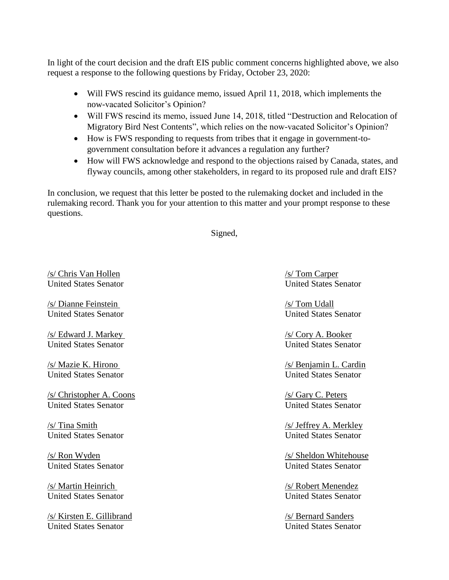In light of the court decision and the draft EIS public comment concerns highlighted above, we also request a response to the following questions by Friday, October 23, 2020:

- Will FWS rescind its guidance memo, issued April 11, 2018, which implements the now-vacated Solicitor's Opinion?
- Will FWS rescind its memo, issued June 14, 2018, titled "Destruction and Relocation of Migratory Bird Nest Contents", which relies on the now-vacated Solicitor's Opinion?
- How is FWS responding to requests from tribes that it engage in government-togovernment consultation before it advances a regulation any further?
- How will FWS acknowledge and respond to the objections raised by Canada, states, and flyway councils, among other stakeholders, in regard to its proposed rule and draft EIS?

In conclusion, we request that this letter be posted to the rulemaking docket and included in the rulemaking record. Thank you for your attention to this matter and your prompt response to these questions.

Signed,

 $\frac{s}{\sin \theta}$  /s/ Chris Van Hollen /s/ Tom Carper United States Senator United States Senator

/s/ Dianne Feinstein /s/ Tom Udall

/s/ Edward J. Markey /s/ Cory A. Booker United States Senator United States Senator

/s/ Christopher A. Coons /s/ Gary C. Peters United States Senator United States Senator

/s/ Martin Heinrich /s/ Robert Menendez

/s/ Kirsten E. Gillibrand /s/ Bernard Sanders United States Senator United States Senator

United States Senator United States Senator

/s/ Mazie K. Hirono /s/ Benjamin L. Cardin United States Senator United States Senator

/s/ Tina Smith /s/ Jeffrey A. Merkley United States Senator United States Senator

/s/ Ron Wyden /s/ Sheldon Whitehouse United States Senator United States Senator

United States Senator United States Senator